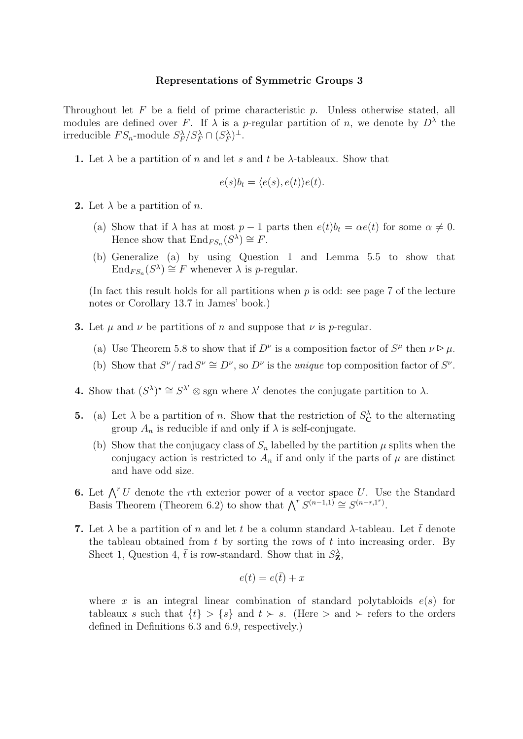## Representations of Symmetric Groups 3

Throughout let  $F$  be a field of prime characteristic  $p$ . Unless otherwise stated, all modules are defined over F. If  $\lambda$  is a p-regular partition of n, we denote by  $D^{\lambda}$  the irreducible  $FS_n$ -module  $S_F^{\lambda}/S_F^{\lambda} \cap (S_F^{\lambda})^{\perp}$ .

**1.** Let  $\lambda$  be a partition of n and let s and t be  $\lambda$ -tableaux. Show that

$$
e(s)b_t = \langle e(s), e(t) \rangle e(t).
$$

- **2.** Let  $\lambda$  be a partition of *n*.
	- (a) Show that if  $\lambda$  has at most  $p-1$  parts then  $e(t)b_t = \alpha e(t)$  for some  $\alpha \neq 0$ . Hence show that  $\text{End}_{FS_n}(S^{\lambda}) \cong F$ .
	- (b) Generalize (a) by using Question 1 and Lemma 5.5 to show that  $\text{End}_{FS_n}(S^{\lambda}) \cong F$  whenever  $\lambda$  is *p*-regular.

(In fact this result holds for all partitions when  $p$  is odd: see page 7 of the lecture notes or Corollary 13.7 in James' book.)

- **3.** Let  $\mu$  and  $\nu$  be partitions of n and suppose that  $\nu$  is p-regular.
	- (a) Use Theorem 5.8 to show that if  $D^{\nu}$  is a composition factor of  $S^{\mu}$  then  $\nu \geq \mu$ .
	- (b) Show that  $S^{\nu}/\text{rad } S^{\nu} \cong D^{\nu}$ , so  $D^{\nu}$  is the *unique* top composition factor of  $S^{\nu}$ .
- **4.** Show that  $(S^{\lambda})^* \cong S^{\lambda'} \otimes \text{sgn}$  where  $\lambda'$  denotes the conjugate partition to  $\lambda$ .
- **5.** (a) Let  $\lambda$  be a partition of n. Show that the restriction of  $S_{\mathbf{C}}^{\lambda}$  to the alternating group  $A_n$  is reducible if and only if  $\lambda$  is self-conjugate.
	- (b) Show that the conjugacy class of  $S_n$  labelled by the partition  $\mu$  splits when the conjugacy action is restricted to  $A_n$  if and only if the parts of  $\mu$  are distinct and have odd size.
- 6. Let  $\bigwedge^r U$  denote the rth exterior power of a vector space U. Use the Standard Basis Theorem (Theorem 6.2) to show that  $\bigwedge^r S^{(n-1,1)} \cong S^{(n-r,1^r)}$ .
- 7. Let  $\lambda$  be a partition of n and let t be a column standard  $\lambda$ -tableau. Let t denote the tableau obtained from  $t$  by sorting the rows of  $t$  into increasing order. By Sheet 1, Question 4,  $\bar{t}$  is row-standard. Show that in  $S_{\mathbf{Z}}^{\lambda}$ ,

$$
e(t) = e(\bar{t}) + x
$$

where x is an integral linear combination of standard polytabloids  $e(s)$  for tableaux s such that  $\{t\} > \{s\}$  and  $t \succ s$ . (Here  $>$  and  $\succ$  refers to the orders defined in Definitions 6.3 and 6.9, respectively.)